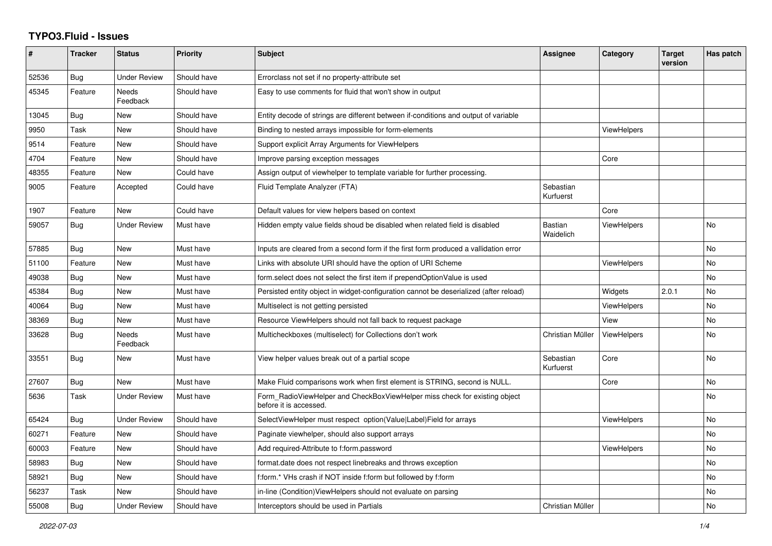## **TYPO3.Fluid - Issues**

| #     | <b>Tracker</b> | <b>Status</b>       | <b>Priority</b> | <b>Subject</b>                                                                                       | Assignee               | Category           | <b>Target</b><br>version | Has patch |
|-------|----------------|---------------------|-----------------|------------------------------------------------------------------------------------------------------|------------------------|--------------------|--------------------------|-----------|
| 52536 | Bug            | <b>Under Review</b> | Should have     | Errorclass not set if no property-attribute set                                                      |                        |                    |                          |           |
| 45345 | Feature        | Needs<br>Feedback   | Should have     | Easy to use comments for fluid that won't show in output                                             |                        |                    |                          |           |
| 13045 | Bug            | <b>New</b>          | Should have     | Entity decode of strings are different between if-conditions and output of variable                  |                        |                    |                          |           |
| 9950  | Task           | New                 | Should have     | Binding to nested arrays impossible for form-elements                                                |                        | <b>ViewHelpers</b> |                          |           |
| 9514  | Feature        | New                 | Should have     | Support explicit Array Arguments for ViewHelpers                                                     |                        |                    |                          |           |
| 4704  | Feature        | <b>New</b>          | Should have     | Improve parsing exception messages                                                                   |                        | Core               |                          |           |
| 48355 | Feature        | New                 | Could have      | Assign output of viewhelper to template variable for further processing.                             |                        |                    |                          |           |
| 9005  | Feature        | Accepted            | Could have      | Fluid Template Analyzer (FTA)                                                                        | Sebastian<br>Kurfuerst |                    |                          |           |
| 1907  | Feature        | <b>New</b>          | Could have      | Default values for view helpers based on context                                                     |                        | Core               |                          |           |
| 59057 | Bug            | <b>Under Review</b> | Must have       | Hidden empty value fields shoud be disabled when related field is disabled                           | Bastian<br>Waidelich   | <b>ViewHelpers</b> |                          | <b>No</b> |
| 57885 | Bug            | <b>New</b>          | Must have       | Inputs are cleared from a second form if the first form produced a vallidation error                 |                        |                    |                          | <b>No</b> |
| 51100 | Feature        | New                 | Must have       | Links with absolute URI should have the option of URI Scheme                                         |                        | <b>ViewHelpers</b> |                          | No        |
| 49038 | Bug            | New                 | Must have       | form.select does not select the first item if prependOptionValue is used                             |                        |                    |                          | No        |
| 45384 | Bug            | <b>New</b>          | Must have       | Persisted entity object in widget-configuration cannot be deserialized (after reload)                |                        | Widgets            | 2.0.1                    | <b>No</b> |
| 40064 | Bug            | New                 | Must have       | Multiselect is not getting persisted                                                                 |                        | <b>ViewHelpers</b> |                          | <b>No</b> |
| 38369 | Bug            | New                 | Must have       | Resource ViewHelpers should not fall back to request package                                         |                        | View               |                          | No        |
| 33628 | Bug            | Needs<br>Feedback   | Must have       | Multicheckboxes (multiselect) for Collections don't work                                             | Christian Müller       | ViewHelpers        |                          | No        |
| 33551 | <b>Bug</b>     | <b>New</b>          | Must have       | View helper values break out of a partial scope                                                      | Sebastian<br>Kurfuerst | Core               |                          | <b>No</b> |
| 27607 | Bug            | New                 | Must have       | Make Fluid comparisons work when first element is STRING, second is NULL.                            |                        | Core               |                          | <b>No</b> |
| 5636  | Task           | Under Review        | Must have       | Form RadioViewHelper and CheckBoxViewHelper miss check for existing object<br>before it is accessed. |                        |                    |                          | No        |
| 65424 | <b>Bug</b>     | Under Review        | Should have     | SelectViewHelper must respect option(Value Label)Field for arrays                                    |                        | <b>ViewHelpers</b> |                          | <b>No</b> |
| 60271 | Feature        | <b>New</b>          | Should have     | Paginate viewhelper, should also support arrays                                                      |                        |                    |                          | <b>No</b> |
| 60003 | Feature        | New                 | Should have     | Add required-Attribute to f:form.password                                                            |                        | ViewHelpers        |                          | No        |
| 58983 | Bug            | New                 | Should have     | format.date does not respect linebreaks and throws exception                                         |                        |                    |                          | <b>No</b> |
| 58921 | <b>Bug</b>     | New                 | Should have     | f:form.* VHs crash if NOT inside f:form but followed by f:form                                       |                        |                    |                          | No        |
| 56237 | Task           | New                 | Should have     | in-line (Condition) View Helpers should not evaluate on parsing                                      |                        |                    |                          | No        |
| 55008 | Bug            | <b>Under Review</b> | Should have     | Interceptors should be used in Partials                                                              | Christian Müller       |                    |                          | <b>No</b> |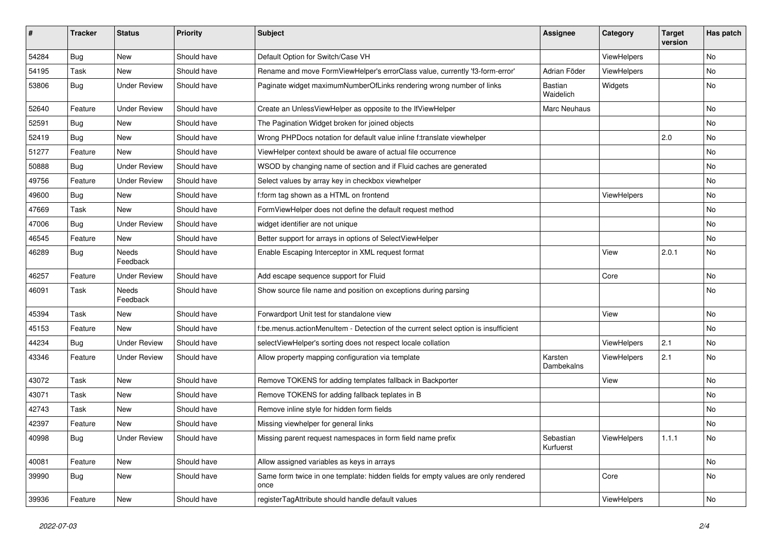| #     | <b>Tracker</b> | <b>Status</b>       | <b>Priority</b> | <b>Subject</b>                                                                            | <b>Assignee</b>             | Category    | <b>Target</b><br>version | Has patch |
|-------|----------------|---------------------|-----------------|-------------------------------------------------------------------------------------------|-----------------------------|-------------|--------------------------|-----------|
| 54284 | Bug            | New                 | Should have     | Default Option for Switch/Case VH                                                         |                             | ViewHelpers |                          | <b>No</b> |
| 54195 | Task           | New                 | Should have     | Rename and move FormViewHelper's errorClass value, currently 'f3-form-error'              | Adrian Föder                | ViewHelpers |                          | No        |
| 53806 | Bug            | <b>Under Review</b> | Should have     | Paginate widget maximumNumberOfLinks rendering wrong number of links                      | <b>Bastian</b><br>Waidelich | Widgets     |                          | No        |
| 52640 | Feature        | <b>Under Review</b> | Should have     | Create an UnlessViewHelper as opposite to the IfViewHelper                                | Marc Neuhaus                |             |                          | No        |
| 52591 | Bug            | New                 | Should have     | The Pagination Widget broken for joined objects                                           |                             |             |                          | <b>No</b> |
| 52419 | Bug            | New                 | Should have     | Wrong PHPDocs notation for default value inline f:translate viewhelper                    |                             |             | 2.0                      | No        |
| 51277 | Feature        | New                 | Should have     | ViewHelper context should be aware of actual file occurrence                              |                             |             |                          | No        |
| 50888 | Bug            | <b>Under Review</b> | Should have     | WSOD by changing name of section and if Fluid caches are generated                        |                             |             |                          | No        |
| 49756 | Feature        | <b>Under Review</b> | Should have     | Select values by array key in checkbox viewhelper                                         |                             |             |                          | No        |
| 49600 | Bug            | New                 | Should have     | f:form tag shown as a HTML on frontend                                                    |                             | ViewHelpers |                          | <b>No</b> |
| 47669 | Task           | <b>New</b>          | Should have     | FormViewHelper does not define the default request method                                 |                             |             |                          | No        |
| 47006 | Bug            | <b>Under Review</b> | Should have     | widget identifier are not unique                                                          |                             |             |                          | No        |
| 46545 | Feature        | New                 | Should have     | Better support for arrays in options of SelectViewHelper                                  |                             |             |                          | No        |
| 46289 | Bug            | Needs<br>Feedback   | Should have     | Enable Escaping Interceptor in XML request format                                         |                             | View        | 2.0.1                    | No        |
| 46257 | Feature        | <b>Under Review</b> | Should have     | Add escape sequence support for Fluid                                                     |                             | Core        |                          | <b>No</b> |
| 46091 | Task           | Needs<br>Feedback   | Should have     | Show source file name and position on exceptions during parsing                           |                             |             |                          | No        |
| 45394 | Task           | <b>New</b>          | Should have     | Forwardport Unit test for standalone view                                                 |                             | View        |                          | No        |
| 45153 | Feature        | New                 | Should have     | f:be.menus.actionMenuItem - Detection of the current select option is insufficient        |                             |             |                          | No        |
| 44234 | <b>Bug</b>     | <b>Under Review</b> | Should have     | selectViewHelper's sorting does not respect locale collation                              |                             | ViewHelpers | 2.1                      | No        |
| 43346 | Feature        | Under Review        | Should have     | Allow property mapping configuration via template                                         | Karsten<br>Dambekalns       | ViewHelpers | 2.1                      | No        |
| 43072 | Task           | <b>New</b>          | Should have     | Remove TOKENS for adding templates fallback in Backporter                                 |                             | View        |                          | <b>No</b> |
| 43071 | Task           | New                 | Should have     | Remove TOKENS for adding fallback teplates in B                                           |                             |             |                          | No        |
| 42743 | Task           | New                 | Should have     | Remove inline style for hidden form fields                                                |                             |             |                          | <b>No</b> |
| 42397 | Feature        | New                 | Should have     | Missing viewhelper for general links                                                      |                             |             |                          | No        |
| 40998 | <b>Bug</b>     | <b>Under Review</b> | Should have     | Missing parent request namespaces in form field name prefix                               | Sebastian<br>Kurfuerst      | ViewHelpers | 1.1.1                    | No        |
| 40081 | Feature        | New                 | Should have     | Allow assigned variables as keys in arrays                                                |                             |             |                          | No        |
| 39990 | Bug            | New                 | Should have     | Same form twice in one template: hidden fields for empty values are only rendered<br>once |                             | Core        |                          | No        |
| 39936 | Feature        | New                 | Should have     | registerTagAttribute should handle default values                                         |                             | ViewHelpers |                          | No        |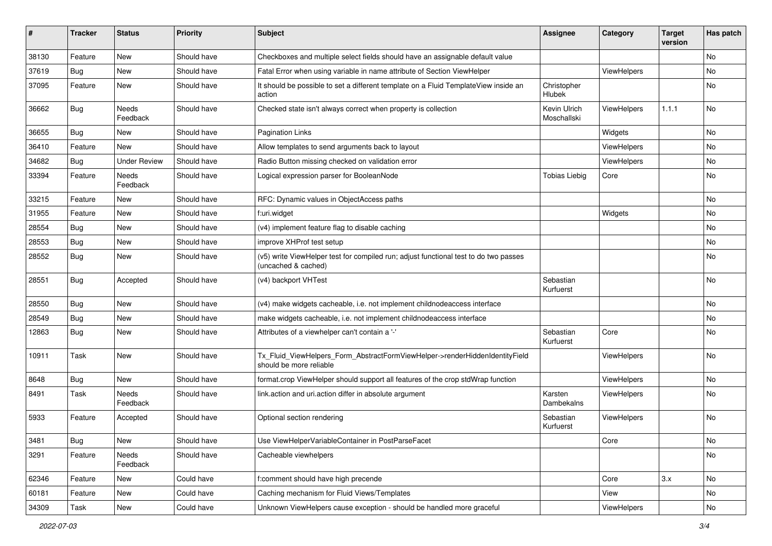| ∦     | <b>Tracker</b> | <b>Status</b>       | <b>Priority</b> | <b>Subject</b>                                                                                              | <b>Assignee</b>             | Category    | <b>Target</b><br>version | Has patch |
|-------|----------------|---------------------|-----------------|-------------------------------------------------------------------------------------------------------------|-----------------------------|-------------|--------------------------|-----------|
| 38130 | Feature        | New                 | Should have     | Checkboxes and multiple select fields should have an assignable default value                               |                             |             |                          | No        |
| 37619 | Bug            | New                 | Should have     | Fatal Error when using variable in name attribute of Section ViewHelper                                     |                             | ViewHelpers |                          | No        |
| 37095 | Feature        | New                 | Should have     | It should be possible to set a different template on a Fluid TemplateView inside an<br>action               | Christopher<br>Hlubek       |             |                          | No        |
| 36662 | Bug            | Needs<br>Feedback   | Should have     | Checked state isn't always correct when property is collection                                              | Kevin Ulrich<br>Moschallski | ViewHelpers | 1.1.1                    | No.       |
| 36655 | Bug            | New                 | Should have     | <b>Pagination Links</b>                                                                                     |                             | Widgets     |                          | <b>No</b> |
| 36410 | Feature        | New                 | Should have     | Allow templates to send arguments back to layout                                                            |                             | ViewHelpers |                          | No        |
| 34682 | Bug            | <b>Under Review</b> | Should have     | Radio Button missing checked on validation error                                                            |                             | ViewHelpers |                          | No.       |
| 33394 | Feature        | Needs<br>Feedback   | Should have     | Logical expression parser for BooleanNode                                                                   | <b>Tobias Liebig</b>        | Core        |                          | No        |
| 33215 | Feature        | New                 | Should have     | RFC: Dynamic values in ObjectAccess paths                                                                   |                             |             |                          | No        |
| 31955 | Feature        | New                 | Should have     | f:uri.widget                                                                                                |                             | Widgets     |                          | No.       |
| 28554 | Bug            | New                 | Should have     | (v4) implement feature flag to disable caching                                                              |                             |             |                          | No        |
| 28553 | Bug            | New                 | Should have     | improve XHProf test setup                                                                                   |                             |             |                          | No        |
| 28552 | Bug            | New                 | Should have     | (v5) write ViewHelper test for compiled run; adjust functional test to do two passes<br>(uncached & cached) |                             |             |                          | No        |
| 28551 | Bug            | Accepted            | Should have     | (v4) backport VHTest                                                                                        | Sebastian<br>Kurfuerst      |             |                          | No        |
| 28550 | Bug            | New                 | Should have     | (v4) make widgets cacheable, i.e. not implement childnodeaccess interface                                   |                             |             |                          | No        |
| 28549 | Bug            | New                 | Should have     | make widgets cacheable, i.e. not implement childnodeaccess interface                                        |                             |             |                          | No.       |
| 12863 | Bug            | New                 | Should have     | Attributes of a viewhelper can't contain a '-'                                                              | Sebastian<br>Kurfuerst      | Core        |                          | No        |
| 10911 | Task           | New                 | Should have     | Tx_Fluid_ViewHelpers_Form_AbstractFormViewHelper->renderHiddenIdentityField<br>should be more reliable      |                             | ViewHelpers |                          | No        |
| 8648  | <b>Bug</b>     | New                 | Should have     | format.crop ViewHelper should support all features of the crop stdWrap function                             |                             | ViewHelpers |                          | No        |
| 8491  | Task           | Needs<br>Feedback   | Should have     | link.action and uri.action differ in absolute argument                                                      | Karsten<br>Dambekalns       | ViewHelpers |                          | No        |
| 5933  | Feature        | Accepted            | Should have     | Optional section rendering                                                                                  | Sebastian<br>Kurfuerst      | ViewHelpers |                          | No        |
| 3481  | Bug            | New                 | Should have     | Use ViewHelperVariableContainer in PostParseFacet                                                           |                             | Core        |                          | No        |
| 3291  | Feature        | Needs<br>Feedback   | Should have     | Cacheable viewhelpers                                                                                       |                             |             |                          | No        |
| 62346 | Feature        | New                 | Could have      | f:comment should have high precende                                                                         |                             | Core        | 3.x                      | No        |
| 60181 | Feature        | New                 | Could have      | Caching mechanism for Fluid Views/Templates                                                                 |                             | View        |                          | No        |
| 34309 | Task           | New                 | Could have      | Unknown ViewHelpers cause exception - should be handled more graceful                                       |                             | ViewHelpers |                          | No        |